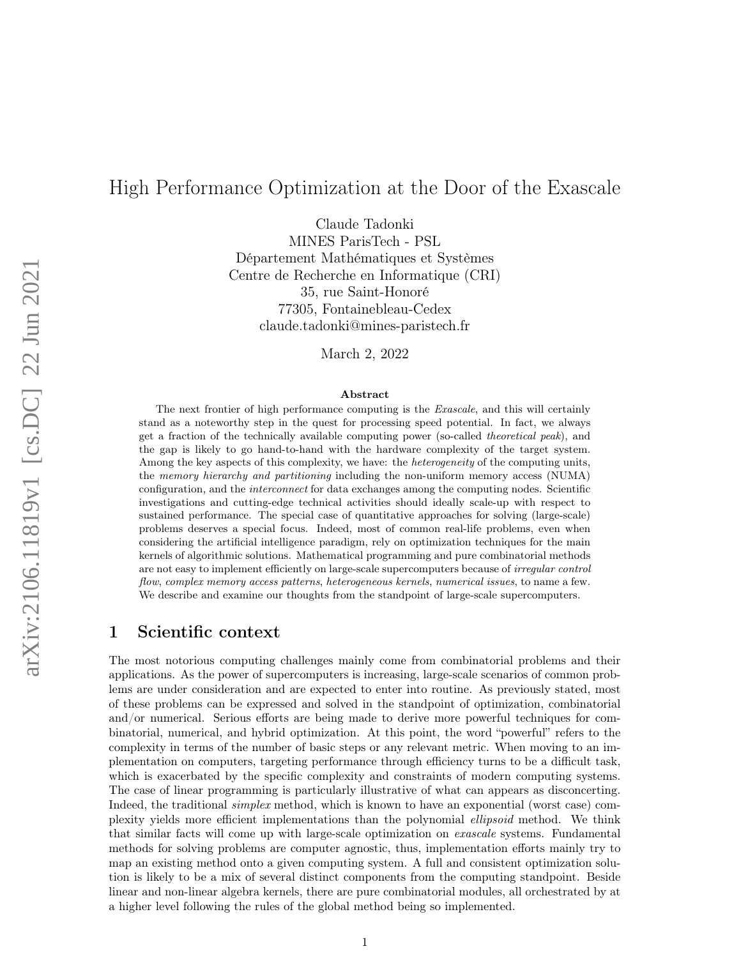# High Performance Optimization at the Door of the Exascale

Claude Tadonki MINES ParisTech - PSL Département Mathématiques et Systèmes Centre de Recherche en Informatique (CRI) 35, rue Saint-Honoré 77305, Fontainebleau-Cedex claude.tadonki@mines-paristech.fr

March 2, 2022

#### Abstract

The next frontier of high performance computing is the Exascale, and this will certainly stand as a noteworthy step in the quest for processing speed potential. In fact, we always get a fraction of the technically available computing power (so-called theoretical peak), and the gap is likely to go hand-to-hand with the hardware complexity of the target system. Among the key aspects of this complexity, we have: the *heterogeneity* of the computing units, the memory hierarchy and partitioning including the non-uniform memory access (NUMA) configuration, and the interconnect for data exchanges among the computing nodes. Scientific investigations and cutting-edge technical activities should ideally scale-up with respect to sustained performance. The special case of quantitative approaches for solving (large-scale) problems deserves a special focus. Indeed, most of common real-life problems, even when considering the artificial intelligence paradigm, rely on optimization techniques for the main kernels of algorithmic solutions. Mathematical programming and pure combinatorial methods are not easy to implement efficiently on large-scale supercomputers because of irregular control flow, complex memory access patterns, heterogeneous kernels, numerical issues, to name a few. We describe and examine our thoughts from the standpoint of large-scale supercomputers.

#### 1 Scientific context

The most notorious computing challenges mainly come from combinatorial problems and their applications. As the power of supercomputers is increasing, large-scale scenarios of common problems are under consideration and are expected to enter into routine. As previously stated, most of these problems can be expressed and solved in the standpoint of optimization, combinatorial and/or numerical. Serious efforts are being made to derive more powerful techniques for combinatorial, numerical, and hybrid optimization. At this point, the word "powerful" refers to the complexity in terms of the number of basic steps or any relevant metric. When moving to an implementation on computers, targeting performance through efficiency turns to be a difficult task, which is exacerbated by the specific complexity and constraints of modern computing systems. The case of linear programming is particularly illustrative of what can appears as disconcerting. Indeed, the traditional simplex method, which is known to have an exponential (worst case) complexity yields more efficient implementations than the polynomial ellipsoid method. We think that similar facts will come up with large-scale optimization on exascale systems. Fundamental methods for solving problems are computer agnostic, thus, implementation efforts mainly try to map an existing method onto a given computing system. A full and consistent optimization solution is likely to be a mix of several distinct components from the computing standpoint. Beside linear and non-linear algebra kernels, there are pure combinatorial modules, all orchestrated by at a higher level following the rules of the global method being so implemented.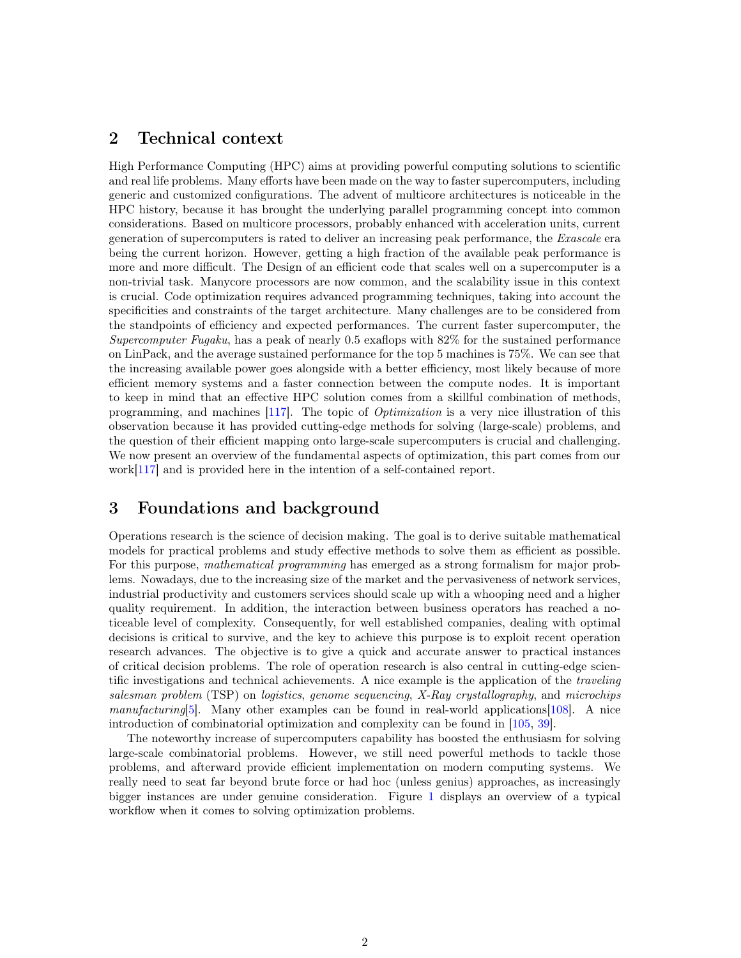#### 2 Technical context

High Performance Computing (HPC) aims at providing powerful computing solutions to scientific and real life problems. Many efforts have been made on the way to faster supercomputers, including generic and customized configurations. The advent of multicore architectures is noticeable in the HPC history, because it has brought the underlying parallel programming concept into common considerations. Based on multicore processors, probably enhanced with acceleration units, current generation of supercomputers is rated to deliver an increasing peak performance, the Exascale era being the current horizon. However, getting a high fraction of the available peak performance is more and more difficult. The Design of an efficient code that scales well on a supercomputer is a non-trivial task. Manycore processors are now common, and the scalability issue in this context is crucial. Code optimization requires advanced programming techniques, taking into account the specificities and constraints of the target architecture. Many challenges are to be considered from the standpoints of efficiency and expected performances. The current faster supercomputer, the Supercomputer Fugaku, has a peak of nearly 0.5 exaflops with 82% for the sustained performance on LinPack, and the average sustained performance for the top 5 machines is 75%. We can see that the increasing available power goes alongside with a better efficiency, most likely because of more efficient memory systems and a faster connection between the compute nodes. It is important to keep in mind that an effective HPC solution comes from a skillful combination of methods, programming, and machines [\[117\]](#page-16-0). The topic of Optimization is a very nice illustration of this observation because it has provided cutting-edge methods for solving (large-scale) problems, and the question of their efficient mapping onto large-scale supercomputers is crucial and challenging. We now present an overview of the fundamental aspects of optimization, this part comes from our work[\[117\]](#page-16-0) and is provided here in the intention of a self-contained report.

### 3 Foundations and background

Operations research is the science of decision making. The goal is to derive suitable mathematical models for practical problems and study effective methods to solve them as efficient as possible. For this purpose, *mathematical programming* has emerged as a strong formalism for major problems. Nowadays, due to the increasing size of the market and the pervasiveness of network services, industrial productivity and customers services should scale up with a whooping need and a higher quality requirement. In addition, the interaction between business operators has reached a noticeable level of complexity. Consequently, for well established companies, dealing with optimal decisions is critical to survive, and the key to achieve this purpose is to exploit recent operation research advances. The objective is to give a quick and accurate answer to practical instances of critical decision problems. The role of operation research is also central in cutting-edge scientific investigations and technical achievements. A nice example is the application of the traveling salesman problem (TSP) on logistics, genome sequencing, X-Ray crystallography, and microchips manufacturing[\[5\]](#page-11-0). Many other examples can be found in real-world applications[\[108\]](#page-16-1). A nice introduction of combinatorial optimization and complexity can be found in [\[105,](#page-16-2) [39\]](#page-12-0).

The noteworthy increase of supercomputers capability has boosted the enthusiasm for solving large-scale combinatorial problems. However, we still need powerful methods to tackle those problems, and afterward provide efficient implementation on modern computing systems. We really need to seat far beyond brute force or had hoc (unless genius) approaches, as increasingly bigger instances are under genuine consideration. Figure [1](#page-2-0) displays an overview of a typical workflow when it comes to solving optimization problems.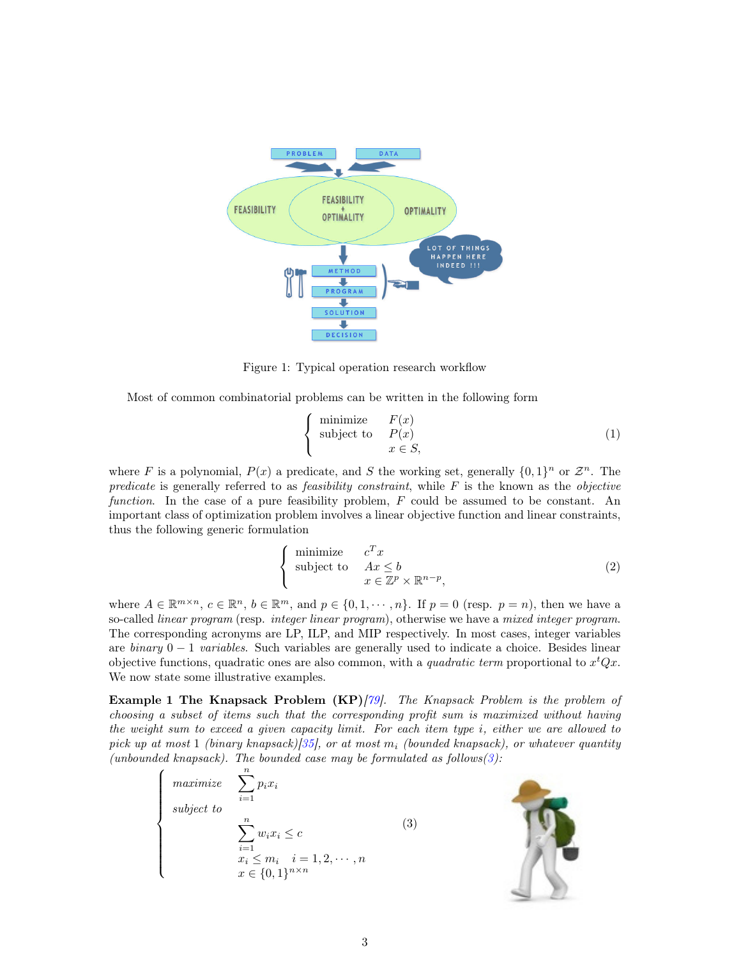

<span id="page-2-0"></span>Figure 1: Typical operation research workflow

Most of common combinatorial problems can be written in the following form

$$
\begin{cases}\n\text{minimize} & F(x) \\
\text{subject to} & P(x) \\
x \in S,\n\end{cases} (1)
$$

where F is a polynomial,  $P(x)$  a predicate, and S the working set, generally  $\{0,1\}^n$  or  $\mathcal{Z}^n$ . The predicate is generally referred to as *feasibility constraint*, while  $F$  is the known as the *objective* function. In the case of a pure feasibility problem, F could be assumed to be constant. An important class of optimization problem involves a linear objective function and linear constraints, thus the following generic formulation

$$
\begin{cases}\n\text{minimize} & c^T x\\ \n\text{subject to} & Ax \leq b\\ \n& x \in \mathbb{Z}^p \times \mathbb{R}^{n-p}, \n\end{cases} \tag{2}
$$

where  $A \in \mathbb{R}^{m \times n}$ ,  $c \in \mathbb{R}^n$ ,  $b \in \mathbb{R}^m$ , and  $p \in \{0, 1, \dots, n\}$ . If  $p = 0$  (resp.  $p = n$ ), then we have a so-called linear program (resp. integer linear program), otherwise we have a mixed integer program. The corresponding acronyms are LP, ILP, and MIP respectively. In most cases, integer variables are binary  $0 - 1$  variables. Such variables are generally used to indicate a choice. Besides linear objective functions, quadratic ones are also common, with a *quadratic term* proportional to  $x^t Q x$ . We now state some illustrative examples.

**Example 1 The Knapsack Problem (KP)**[\[79\]](#page-14-0). The Knapsack Problem is the problem of choosing a subset of items such that the corresponding profit sum is maximized without having the weight sum to exceed a given capacity limit. For each item type i, either we are allowed to pick up at most 1 (binary knapsack)[\[35\]](#page-12-1), or at most  $m_i$  (bounded knapsack), or whatever quantity (unbounded knapsack). The bounded case may be formulated as follows $(3)$ :

<span id="page-2-1"></span>
$$
\begin{cases}\n\text{maximize} & \sum_{i=1}^{n} p_i x_i \\
\text{subject to} & \sum_{i=1}^{n} w_i x_i \leq c \\
& x_i \leq m_i \quad i = 1, 2, \dots, n \\
& x \in \{0, 1\}^{n \times n}\n\end{cases} \tag{3}
$$

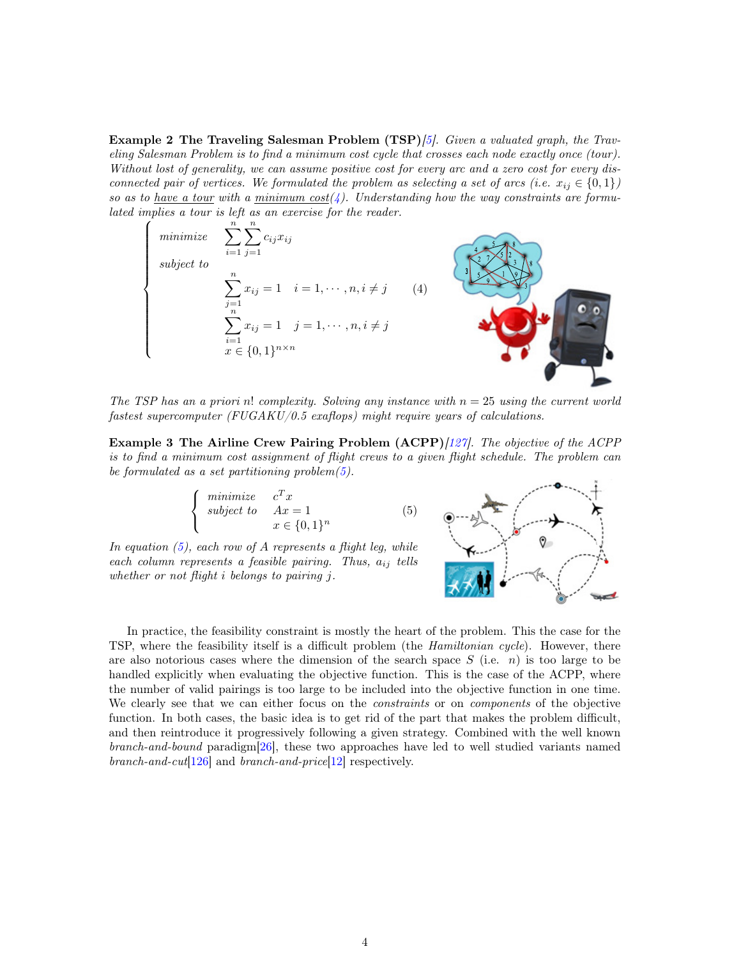Example 2 The Traveling Salesman Problem  $(TSP)/5$ . Given a valuated graph, the Traveling Salesman Problem is to find a minimum cost cycle that crosses each node exactly once (tour). Without lost of generality, we can assume positive cost for every arc and a zero cost for every disconnected pair of vertices. We formulated the problem as selecting a set of arcs (i.e.  $x_{ij} \in \{0,1\}$ ) so as to have a tour with a minimum  $cost(4)$  $cost(4)$ . Understanding how the way constraints are formulated implies a tour is left as an exercise for the reader.

<span id="page-3-0"></span>



The TSP has an a priori n! complexity. Solving any instance with  $n = 25$  using the current world fastest supercomputer  $(FUGAKU/0.5 \text{ } exaflops)$  might require years of calculations.

**Example 3 The Airline Crew Pairing Problem (ACPP)**[\[127\]](#page-17-0). The objective of the ACPP is to find a minimum cost assignment of flight crews to a given flight schedule. The problem can be formulated as a set partitioning problem $(5)$ .

<span id="page-3-1"></span>
$$
\begin{cases}\n\text{minimize} & c^T x\\ \n\text{subject to} & Ax = 1\\ \n& x \in \{0, 1\}^n \n\end{cases} \tag{5}
$$

In equation  $(5)$ , each row of A represents a flight leg, while each column represents a feasible pairing. Thus,  $a_{ij}$  tells whether or not flight i belongs to pairing j.



In practice, the feasibility constraint is mostly the heart of the problem. This the case for the TSP, where the feasibility itself is a difficult problem (the *Hamiltonian cycle*). However, there are also notorious cases where the dimension of the search space  $S$  (i.e.  $n$ ) is too large to be handled explicitly when evaluating the objective function. This is the case of the ACPP, where the number of valid pairings is too large to be included into the objective function in one time. We clearly see that we can either focus on the *constraints* or on *components* of the objective function. In both cases, the basic idea is to get rid of the part that makes the problem difficult, and then reintroduce it progressively following a given strategy. Combined with the well known branch-and-bound paradigm[\[26\]](#page-12-2), these two approaches have led to well studied variants named branch-and-cut  $|126|$  and branch-and-price  $|12|$  respectively.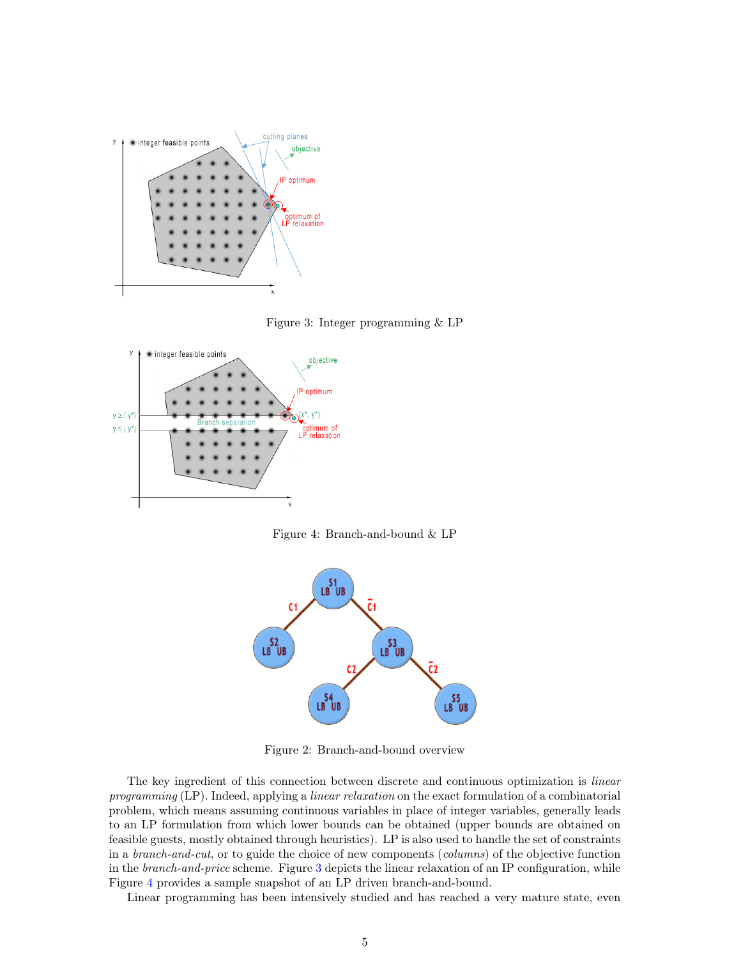

<span id="page-4-0"></span>Figure 3: Integer programming & LP



<span id="page-4-1"></span>Figure 4: Branch-and-bound & LP



Figure 2: Branch-and-bound overview

The key ingredient of this connection between discrete and continuous optimization is linear programming (LP). Indeed, applying a *linear relaxation* on the exact formulation of a combinatorial problem, which means assuming continuous variables in place of integer variables, generally leads to an LP formulation from which lower bounds can be obtained (upper bounds are obtained on feasible guests, mostly obtained through heuristics). LP is also used to handle the set of constraints in a branch-and-cut, or to guide the choice of new components (columns) of the objective function in the *branch-and-price* scheme. Figure [3](#page-4-0) depicts the linear relaxation of an IP configuration, while Figure [4](#page-4-1) provides a sample snapshot of an LP driven branch-and-bound.

Linear programming has been intensively studied and has reached a very mature state, even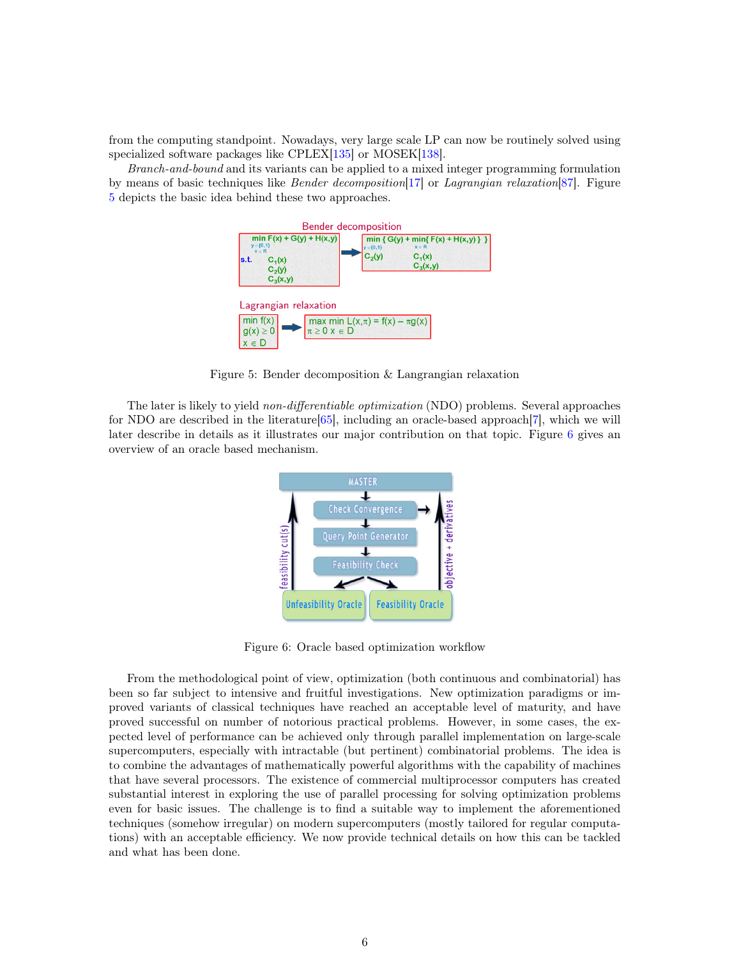from the computing standpoint. Nowadays, very large scale LP can now be routinely solved using specialized software packages like CPLEX[\[135\]](#page-17-2) or MOSEK[\[138\]](#page-17-3).

Branch-and-bound and its variants can be applied to a mixed integer programming formulation by means of basic techniques like Bender decomposition[\[17\]](#page-11-2) or Lagrangian relaxation[\[87\]](#page-15-0). Figure [5](#page-5-0) depicts the basic idea behind these two approaches.



<span id="page-5-0"></span>Figure 5: Bender decomposition & Langrangian relaxation

The later is likely to yield non-differentiable optimization (NDO) problems. Several approaches for NDO are described in the literature[\[65\]](#page-14-1), including an oracle-based approach[\[7\]](#page-11-3), which we will later describe in details as it illustrates our major contribution on that topic. Figure [6](#page-5-1) gives an overview of an oracle based mechanism.



<span id="page-5-1"></span>Figure 6: Oracle based optimization workflow

From the methodological point of view, optimization (both continuous and combinatorial) has been so far subject to intensive and fruitful investigations. New optimization paradigms or improved variants of classical techniques have reached an acceptable level of maturity, and have proved successful on number of notorious practical problems. However, in some cases, the expected level of performance can be achieved only through parallel implementation on large-scale supercomputers, especially with intractable (but pertinent) combinatorial problems. The idea is to combine the advantages of mathematically powerful algorithms with the capability of machines that have several processors. The existence of commercial multiprocessor computers has created substantial interest in exploring the use of parallel processing for solving optimization problems even for basic issues. The challenge is to find a suitable way to implement the aforementioned techniques (somehow irregular) on modern supercomputers (mostly tailored for regular computations) with an acceptable efficiency. We now provide technical details on how this can be tackled and what has been done.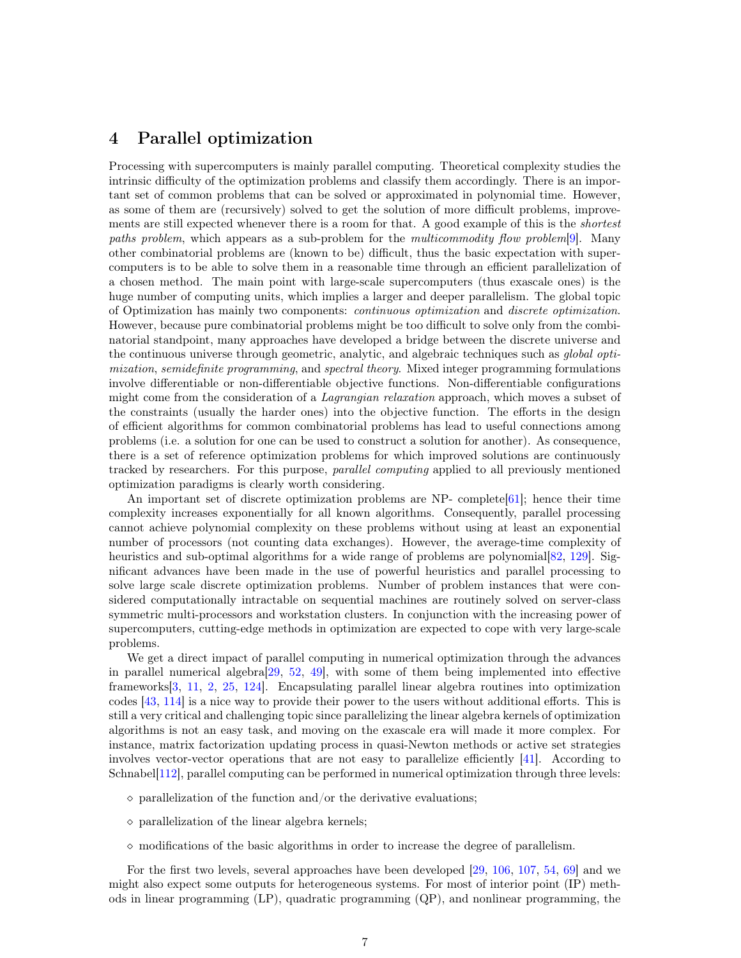#### 4 Parallel optimization

Processing with supercomputers is mainly parallel computing. Theoretical complexity studies the intrinsic difficulty of the optimization problems and classify them accordingly. There is an important set of common problems that can be solved or approximated in polynomial time. However, as some of them are (recursively) solved to get the solution of more difficult problems, improvements are still expected whenever there is a room for that. A good example of this is the *shortest* paths problem, which appears as a sub-problem for the multicommodity flow problem[\[9\]](#page-11-4). Many other combinatorial problems are (known to be) difficult, thus the basic expectation with supercomputers is to be able to solve them in a reasonable time through an efficient parallelization of a chosen method. The main point with large-scale supercomputers (thus exascale ones) is the huge number of computing units, which implies a larger and deeper parallelism. The global topic of Optimization has mainly two components: continuous optimization and discrete optimization. However, because pure combinatorial problems might be too difficult to solve only from the combinatorial standpoint, many approaches have developed a bridge between the discrete universe and the continuous universe through geometric, analytic, and algebraic techniques such as *global opti*mization, semidefinite programming, and spectral theory. Mixed integer programming formulations involve differentiable or non-differentiable objective functions. Non-differentiable configurations might come from the consideration of a *Lagrangian relaxation* approach, which moves a subset of the constraints (usually the harder ones) into the objective function. The efforts in the design of efficient algorithms for common combinatorial problems has lead to useful connections among problems (i.e. a solution for one can be used to construct a solution for another). As consequence, there is a set of reference optimization problems for which improved solutions are continuously tracked by researchers. For this purpose, parallel computing applied to all previously mentioned optimization paradigms is clearly worth considering.

An important set of discrete optimization problems are NP- complete[\[61\]](#page-14-2); hence their time complexity increases exponentially for all known algorithms. Consequently, parallel processing cannot achieve polynomial complexity on these problems without using at least an exponential number of processors (not counting data exchanges). However, the average-time complexity of heuristics and sub-optimal algorithms for a wide range of problems are polynomial [\[82,](#page-15-1) [129\]](#page-17-4). Significant advances have been made in the use of powerful heuristics and parallel processing to solve large scale discrete optimization problems. Number of problem instances that were considered computationally intractable on sequential machines are routinely solved on server-class symmetric multi-processors and workstation clusters. In conjunction with the increasing power of supercomputers, cutting-edge methods in optimization are expected to cope with very large-scale problems.

We get a direct impact of parallel computing in numerical optimization through the advances in parallel numerical algebra[\[29,](#page-12-3) [52,](#page-13-0) [49\]](#page-13-1), with some of them being implemented into effective frameworks[\[3,](#page-11-5) [11,](#page-11-6) [2,](#page-11-7) [25,](#page-12-4) [124\]](#page-17-5). Encapsulating parallel linear algebra routines into optimization codes [\[43,](#page-13-2) [114\]](#page-16-3) is a nice way to provide their power to the users without additional efforts. This is still a very critical and challenging topic since parallelizing the linear algebra kernels of optimization algorithms is not an easy task, and moving on the exascale era will made it more complex. For instance, matrix factorization updating process in quasi-Newton methods or active set strategies involves vector-vector operations that are not easy to parallelize efficiently [\[41\]](#page-13-3). According to Schnabel[\[112\]](#page-16-4), parallel computing can be performed in numerical optimization through three levels:

- $\Diamond$  parallelization of the function and/or the derivative evaluations;
- $\Diamond$  parallelization of the linear algebra kernels;
- $\Diamond$  modifications of the basic algorithms in order to increase the degree of parallelism.

For the first two levels, several approaches have been developed [\[29,](#page-12-3) [106,](#page-16-5) [107,](#page-16-6) [54,](#page-13-4) [69\]](#page-14-3) and we might also expect some outputs for heterogeneous systems. For most of interior point (IP) methods in linear programming (LP), quadratic programming (QP), and nonlinear programming, the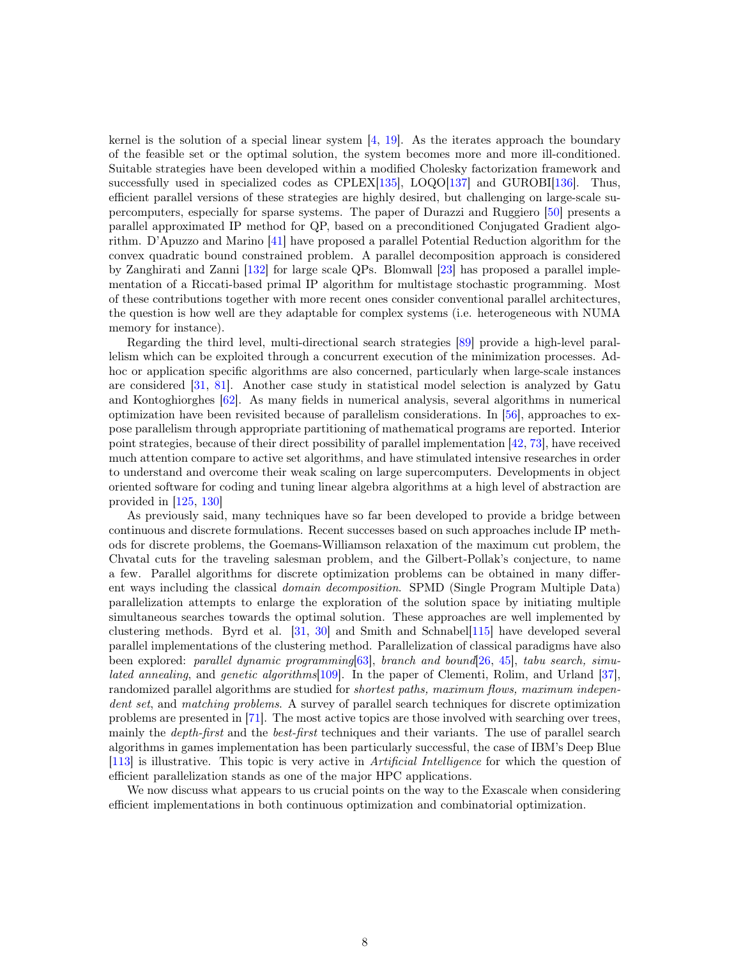kernel is the solution of a special linear system  $[4, 19]$  $[4, 19]$  $[4, 19]$ . As the iterates approach the boundary of the feasible set or the optimal solution, the system becomes more and more ill-conditioned. Suitable strategies have been developed within a modified Cholesky factorization framework and successfully used in specialized codes as CPLEX[\[135\]](#page-17-2), LOQO[\[137\]](#page-17-6) and GUROBI[\[136\]](#page-17-7). Thus, efficient parallel versions of these strategies are highly desired, but challenging on large-scale supercomputers, especially for sparse systems. The paper of Durazzi and Ruggiero [\[50\]](#page-13-5) presents a parallel approximated IP method for QP, based on a preconditioned Conjugated Gradient algorithm. D'Apuzzo and Marino [\[41\]](#page-13-3) have proposed a parallel Potential Reduction algorithm for the convex quadratic bound constrained problem. A parallel decomposition approach is considered by Zanghirati and Zanni [\[132\]](#page-17-8) for large scale QPs. Blomwall [\[23\]](#page-12-5) has proposed a parallel implementation of a Riccati-based primal IP algorithm for multistage stochastic programming. Most of these contributions together with more recent ones consider conventional parallel architectures, the question is how well are they adaptable for complex systems (i.e. heterogeneous with NUMA memory for instance).

Regarding the third level, multi-directional search strategies [\[89\]](#page-15-2) provide a high-level parallelism which can be exploited through a concurrent execution of the minimization processes. Adhoc or application specific algorithms are also concerned, particularly when large-scale instances are considered [\[31,](#page-12-6) [81\]](#page-15-3). Another case study in statistical model selection is analyzed by Gatu and Kontoghiorghes [\[62\]](#page-14-4). As many fields in numerical analysis, several algorithms in numerical optimization have been revisited because of parallelism considerations. In [\[56\]](#page-13-6), approaches to expose parallelism through appropriate partitioning of mathematical programs are reported. Interior point strategies, because of their direct possibility of parallel implementation [\[42,](#page-13-7) [73\]](#page-14-5), have received much attention compare to active set algorithms, and have stimulated intensive researches in order to understand and overcome their weak scaling on large supercomputers. Developments in object oriented software for coding and tuning linear algebra algorithms at a high level of abstraction are provided in [\[125,](#page-17-9) [130\]](#page-17-10)

As previously said, many techniques have so far been developed to provide a bridge between continuous and discrete formulations. Recent successes based on such approaches include IP methods for discrete problems, the Goemans-Williamson relaxation of the maximum cut problem, the Chvatal cuts for the traveling salesman problem, and the Gilbert-Pollak's conjecture, to name a few. Parallel algorithms for discrete optimization problems can be obtained in many different ways including the classical *domain decomposition*. SPMD (Single Program Multiple Data) parallelization attempts to enlarge the exploration of the solution space by initiating multiple simultaneous searches towards the optimal solution. These approaches are well implemented by clustering methods. Byrd et al. [\[31,](#page-12-6) [30\]](#page-12-7) and Smith and Schnabel[\[115\]](#page-16-7) have developed several parallel implementations of the clustering method. Parallelization of classical paradigms have also been explored: *parallel dynamic programming*[\[63\]](#page-14-6), *branch and bound*[\[26,](#page-12-2) [45\]](#page-13-8), *tabu search, simu*lated annealing, and genetic algorithms[\[109\]](#page-16-8). In the paper of Clementi, Rolim, and Urland [\[37\]](#page-12-8), randomized parallel algorithms are studied for *shortest paths, maximum flows, maximum indepen*dent set, and matching problems. A survey of parallel search techniques for discrete optimization problems are presented in [\[71\]](#page-14-7). The most active topics are those involved with searching over trees, mainly the *depth-first* and the *best-first* techniques and their variants. The use of parallel search algorithms in games implementation has been particularly successful, the case of IBM's Deep Blue [\[113\]](#page-16-9) is illustrative. This topic is very active in Artificial Intelligence for which the question of efficient parallelization stands as one of the major HPC applications.

We now discuss what appears to us crucial points on the way to the Exascale when considering efficient implementations in both continuous optimization and combinatorial optimization.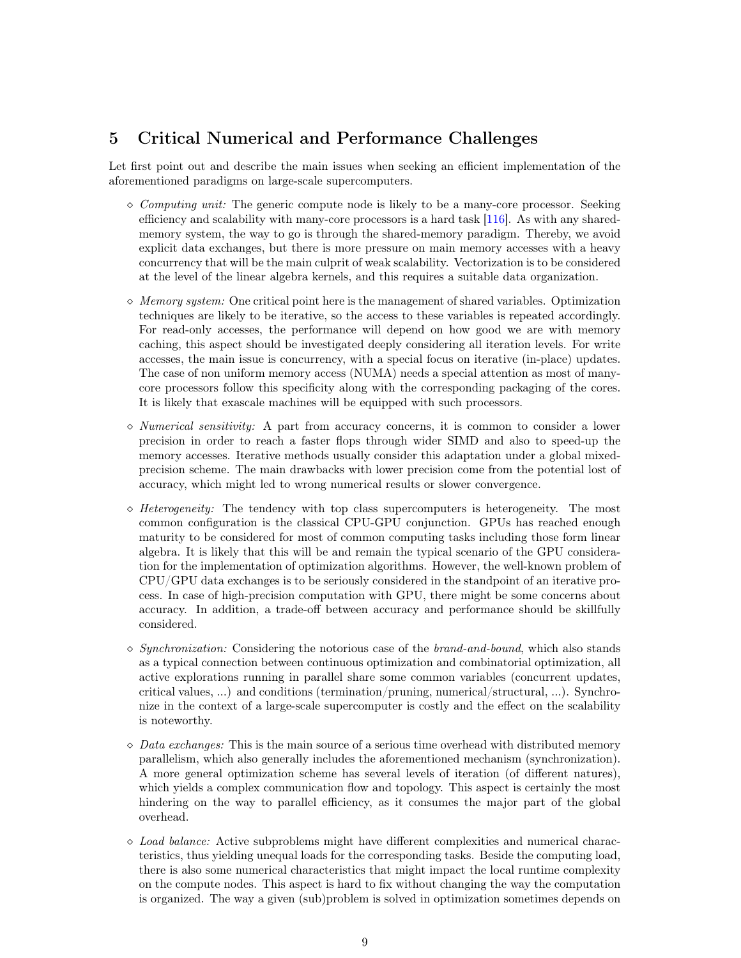## 5 Critical Numerical and Performance Challenges

Let first point out and describe the main issues when seeking an efficient implementation of the aforementioned paradigms on large-scale supercomputers.

- $\Diamond$  Computing unit: The generic compute node is likely to be a many-core processor. Seeking efficiency and scalability with many-core processors is a hard task [\[116\]](#page-16-10). As with any sharedmemory system, the way to go is through the shared-memory paradigm. Thereby, we avoid explicit data exchanges, but there is more pressure on main memory accesses with a heavy concurrency that will be the main culprit of weak scalability. Vectorization is to be considered at the level of the linear algebra kernels, and this requires a suitable data organization.
- $\Diamond$  *Memory system:* One critical point here is the management of shared variables. Optimization techniques are likely to be iterative, so the access to these variables is repeated accordingly. For read-only accesses, the performance will depend on how good we are with memory caching, this aspect should be investigated deeply considering all iteration levels. For write accesses, the main issue is concurrency, with a special focus on iterative (in-place) updates. The case of non uniform memory access (NUMA) needs a special attention as most of manycore processors follow this specificity along with the corresponding packaging of the cores. It is likely that exascale machines will be equipped with such processors.
- $\Diamond$  *Numerical sensitivity:* A part from accuracy concerns, it is common to consider a lower precision in order to reach a faster flops through wider SIMD and also to speed-up the memory accesses. Iterative methods usually consider this adaptation under a global mixedprecision scheme. The main drawbacks with lower precision come from the potential lost of accuracy, which might led to wrong numerical results or slower convergence.
- $\Diamond$  *Heterogeneity:* The tendency with top class supercomputers is heterogeneity. The most common configuration is the classical CPU-GPU conjunction. GPUs has reached enough maturity to be considered for most of common computing tasks including those form linear algebra. It is likely that this will be and remain the typical scenario of the GPU consideration for the implementation of optimization algorithms. However, the well-known problem of CPU/GPU data exchanges is to be seriously considered in the standpoint of an iterative process. In case of high-precision computation with GPU, there might be some concerns about accuracy. In addition, a trade-off between accuracy and performance should be skillfully considered.
- $\Diamond$  Synchronization: Considering the notorious case of the brand-and-bound, which also stands as a typical connection between continuous optimization and combinatorial optimization, all active explorations running in parallel share some common variables (concurrent updates, critical values, ...) and conditions (termination/pruning, numerical/structural, ...). Synchronize in the context of a large-scale supercomputer is costly and the effect on the scalability is noteworthy.
- $\Diamond$  Data exchanges: This is the main source of a serious time overhead with distributed memory parallelism, which also generally includes the aforementioned mechanism (synchronization). A more general optimization scheme has several levels of iteration (of different natures), which yields a complex communication flow and topology. This aspect is certainly the most hindering on the way to parallel efficiency, as it consumes the major part of the global overhead.
- $\Diamond$  *Load balance:* Active subproblems might have different complexities and numerical characteristics, thus yielding unequal loads for the corresponding tasks. Beside the computing load, there is also some numerical characteristics that might impact the local runtime complexity on the compute nodes. This aspect is hard to fix without changing the way the computation is organized. The way a given (sub)problem is solved in optimization sometimes depends on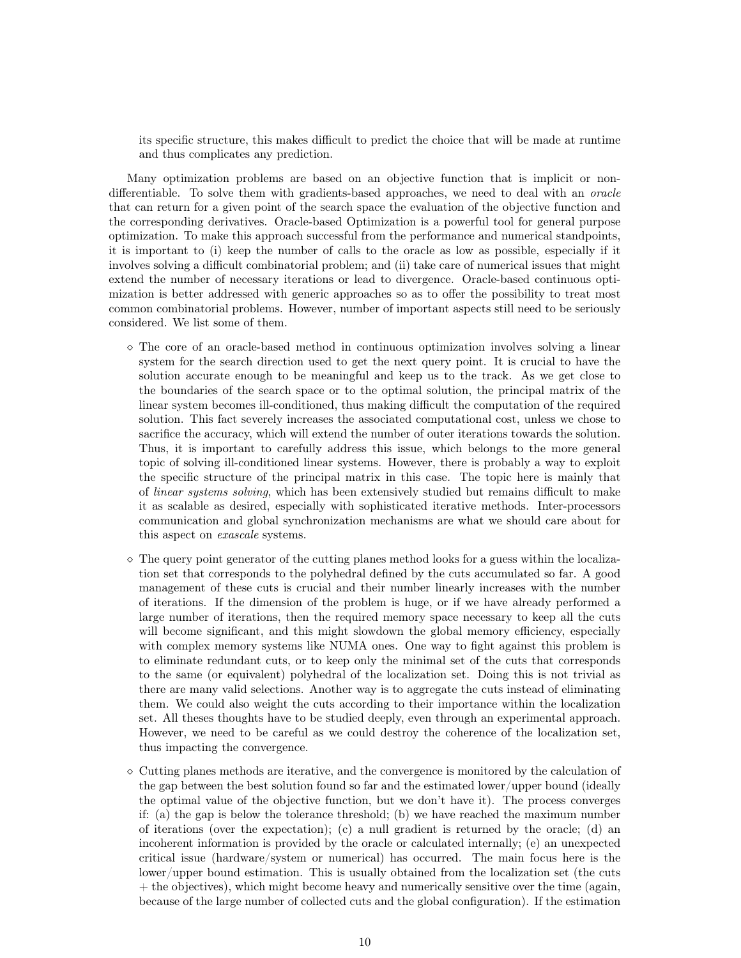its specific structure, this makes difficult to predict the choice that will be made at runtime and thus complicates any prediction.

Many optimization problems are based on an objective function that is implicit or nondifferentiable. To solve them with gradients-based approaches, we need to deal with an *oracle* that can return for a given point of the search space the evaluation of the objective function and the corresponding derivatives. Oracle-based Optimization is a powerful tool for general purpose optimization. To make this approach successful from the performance and numerical standpoints, it is important to (i) keep the number of calls to the oracle as low as possible, especially if it involves solving a difficult combinatorial problem; and (ii) take care of numerical issues that might extend the number of necessary iterations or lead to divergence. Oracle-based continuous optimization is better addressed with generic approaches so as to offer the possibility to treat most common combinatorial problems. However, number of important aspects still need to be seriously considered. We list some of them.

- $\Diamond$  The core of an oracle-based method in continuous optimization involves solving a linear system for the search direction used to get the next query point. It is crucial to have the solution accurate enough to be meaningful and keep us to the track. As we get close to the boundaries of the search space or to the optimal solution, the principal matrix of the linear system becomes ill-conditioned, thus making difficult the computation of the required solution. This fact severely increases the associated computational cost, unless we chose to sacrifice the accuracy, which will extend the number of outer iterations towards the solution. Thus, it is important to carefully address this issue, which belongs to the more general topic of solving ill-conditioned linear systems. However, there is probably a way to exploit the specific structure of the principal matrix in this case. The topic here is mainly that of linear systems solving, which has been extensively studied but remains difficult to make it as scalable as desired, especially with sophisticated iterative methods. Inter-processors communication and global synchronization mechanisms are what we should care about for this aspect on exascale systems.
- $\Diamond$  The query point generator of the cutting planes method looks for a guess within the localization set that corresponds to the polyhedral defined by the cuts accumulated so far. A good management of these cuts is crucial and their number linearly increases with the number of iterations. If the dimension of the problem is huge, or if we have already performed a large number of iterations, then the required memory space necessary to keep all the cuts will become significant, and this might slowdown the global memory efficiency, especially with complex memory systems like NUMA ones. One way to fight against this problem is to eliminate redundant cuts, or to keep only the minimal set of the cuts that corresponds to the same (or equivalent) polyhedral of the localization set. Doing this is not trivial as there are many valid selections. Another way is to aggregate the cuts instead of eliminating them. We could also weight the cuts according to their importance within the localization set. All theses thoughts have to be studied deeply, even through an experimental approach. However, we need to be careful as we could destroy the coherence of the localization set, thus impacting the convergence.
- $\Diamond$  Cutting planes methods are iterative, and the convergence is monitored by the calculation of the gap between the best solution found so far and the estimated lower/upper bound (ideally the optimal value of the objective function, but we don't have it). The process converges if: (a) the gap is below the tolerance threshold; (b) we have reached the maximum number of iterations (over the expectation); (c) a null gradient is returned by the oracle; (d) an incoherent information is provided by the oracle or calculated internally; (e) an unexpected critical issue (hardware/system or numerical) has occurred. The main focus here is the lower/upper bound estimation. This is usually obtained from the localization set (the cuts  $+$  the objectives), which might become heavy and numerically sensitive over the time (again, because of the large number of collected cuts and the global configuration). If the estimation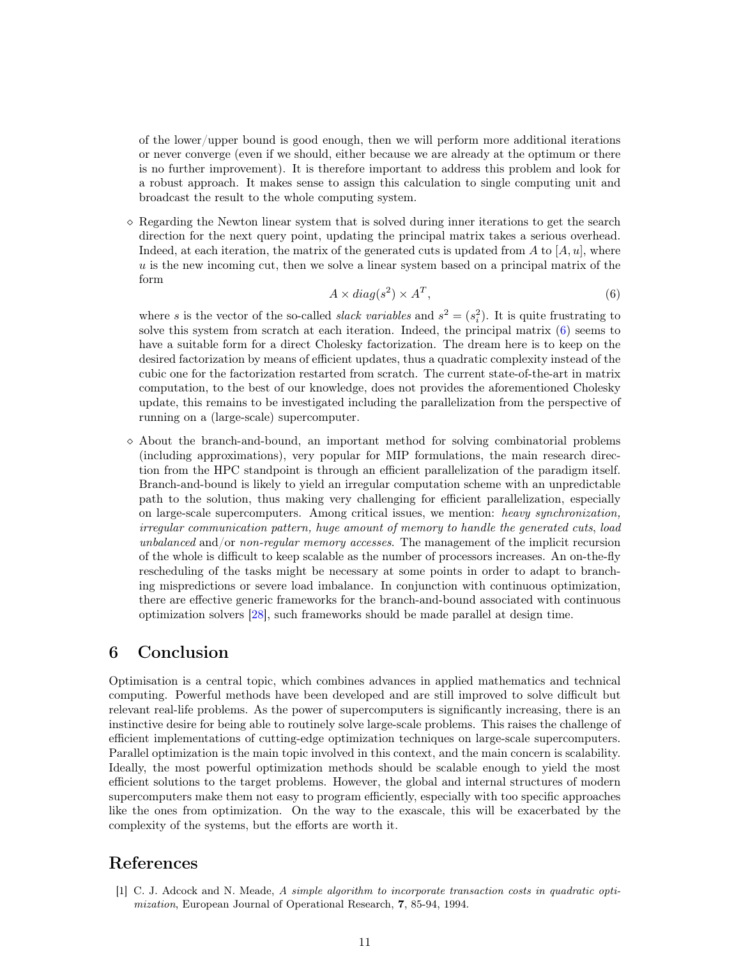of the lower/upper bound is good enough, then we will perform more additional iterations or never converge (even if we should, either because we are already at the optimum or there is no further improvement). It is therefore important to address this problem and look for a robust approach. It makes sense to assign this calculation to single computing unit and broadcast the result to the whole computing system.

 $\Diamond$  Regarding the Newton linear system that is solved during inner iterations to get the search direction for the next query point, updating the principal matrix takes a serious overhead. Indeed, at each iteration, the matrix of the generated cuts is updated from A to  $[A, u]$ , where  $u$  is the new incoming cut, then we solve a linear system based on a principal matrix of the form

<span id="page-10-0"></span>
$$
A \times diag(s^2) \times A^T,
$$
\n<sup>(6)</sup>

where s is the vector of the so-called *slack variables* and  $s^2 = (s_i^2)$ . It is quite frustrating to solve this system from scratch at each iteration. Indeed, the principal matrix [\(6\)](#page-10-0) seems to have a suitable form for a direct Cholesky factorization. The dream here is to keep on the desired factorization by means of efficient updates, thus a quadratic complexity instead of the cubic one for the factorization restarted from scratch. The current state-of-the-art in matrix computation, to the best of our knowledge, does not provides the aforementioned Cholesky update, this remains to be investigated including the parallelization from the perspective of running on a (large-scale) supercomputer.

 $\Diamond$  About the branch-and-bound, an important method for solving combinatorial problems (including approximations), very popular for MIP formulations, the main research direction from the HPC standpoint is through an efficient parallelization of the paradigm itself. Branch-and-bound is likely to yield an irregular computation scheme with an unpredictable path to the solution, thus making very challenging for efficient parallelization, especially on large-scale supercomputers. Among critical issues, we mention: heavy synchronization, irregular communication pattern, huge amount of memory to handle the generated cuts, load unbalanced and/or non-regular memory accesses. The management of the implicit recursion of the whole is difficult to keep scalable as the number of processors increases. An on-the-fly rescheduling of the tasks might be necessary at some points in order to adapt to branching mispredictions or severe load imbalance. In conjunction with continuous optimization, there are effective generic frameworks for the branch-and-bound associated with continuous optimization solvers [\[28\]](#page-12-9), such frameworks should be made parallel at design time.

#### 6 Conclusion

Optimisation is a central topic, which combines advances in applied mathematics and technical computing. Powerful methods have been developed and are still improved to solve difficult but relevant real-life problems. As the power of supercomputers is significantly increasing, there is an instinctive desire for being able to routinely solve large-scale problems. This raises the challenge of efficient implementations of cutting-edge optimization techniques on large-scale supercomputers. Parallel optimization is the main topic involved in this context, and the main concern is scalability. Ideally, the most powerful optimization methods should be scalable enough to yield the most efficient solutions to the target problems. However, the global and internal structures of modern supercomputers make them not easy to program efficiently, especially with too specific approaches like the ones from optimization. On the way to the exascale, this will be exacerbated by the complexity of the systems, but the efforts are worth it.

#### References

[1] C. J. Adcock and N. Meade, A simple algorithm to incorporate transaction costs in quadratic optimization, European Journal of Operational Research, 7, 85-94, 1994.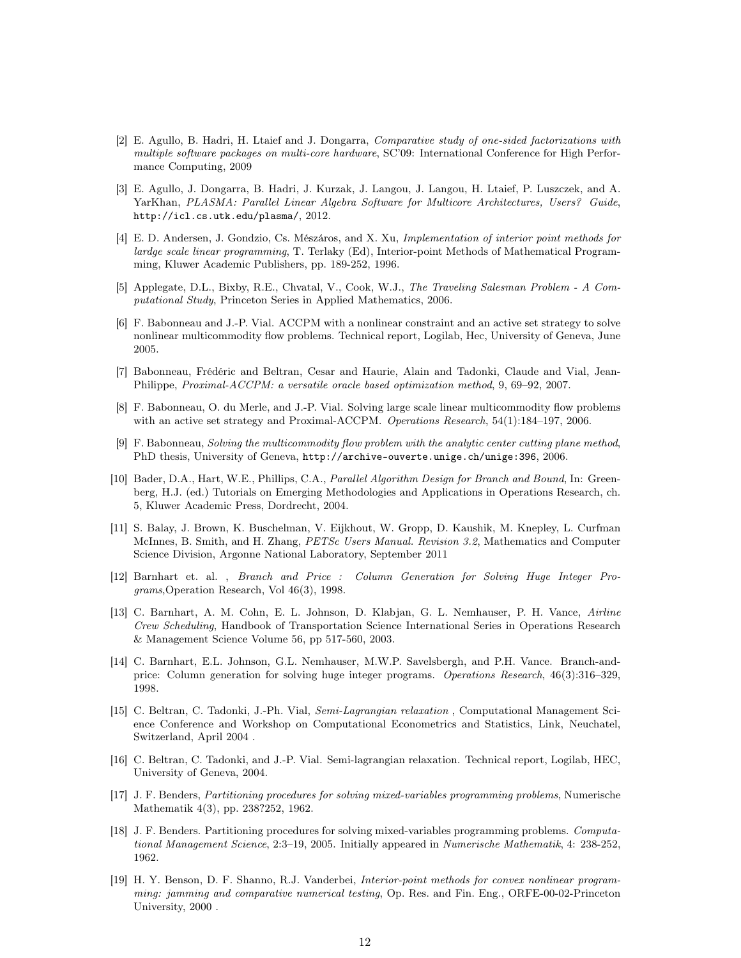- <span id="page-11-7"></span>[2] E. Agullo, B. Hadri, H. Ltaief and J. Dongarra, Comparative study of one-sided factorizations with multiple software packages on multi-core hardware, SC'09: International Conference for High Performance Computing, 2009
- <span id="page-11-5"></span>[3] E. Agullo, J. Dongarra, B. Hadri, J. Kurzak, J. Langou, J. Langou, H. Ltaief, P. Luszczek, and A. YarKhan, PLASMA: Parallel Linear Algebra Software for Multicore Architectures, Users? Guide, http://icl.cs.utk.edu/plasma/, 2012.
- <span id="page-11-8"></span>[4] E. D. Andersen, J. Gondzio, Cs. Mészáros, and X. Xu, Implementation of interior point methods for lardge scale linear programming, T. Terlaky (Ed), Interior-point Methods of Mathematical Programming, Kluwer Academic Publishers, pp. 189-252, 1996.
- <span id="page-11-0"></span>[5] Applegate, D.L., Bixby, R.E., Chvatal, V., Cook, W.J., The Traveling Salesman Problem - A Computational Study, Princeton Series in Applied Mathematics, 2006.
- [6] F. Babonneau and J.-P. Vial. ACCPM with a nonlinear constraint and an active set strategy to solve nonlinear multicommodity flow problems. Technical report, Logilab, Hec, University of Geneva, June 2005.
- <span id="page-11-3"></span>[7] Babonneau, Frédéric and Beltran, Cesar and Haurie, Alain and Tadonki, Claude and Vial, Jean-Philippe, Proximal-ACCPM: a versatile oracle based optimization method, 9, 69–92, 2007.
- [8] F. Babonneau, O. du Merle, and J.-P. Vial. Solving large scale linear multicommodity flow problems with an active set strategy and Proximal-ACCPM. Operations Research, 54(1):184–197, 2006.
- <span id="page-11-4"></span>[9] F. Babonneau, Solving the multicommodity flow problem with the analytic center cutting plane method, PhD thesis, University of Geneva, http://archive-ouverte.unige.ch/unige:396, 2006.
- [10] Bader, D.A., Hart, W.E., Phillips, C.A., Parallel Algorithm Design for Branch and Bound, In: Greenberg, H.J. (ed.) Tutorials on Emerging Methodologies and Applications in Operations Research, ch. 5, Kluwer Academic Press, Dordrecht, 2004.
- <span id="page-11-6"></span>[11] S. Balay, J. Brown, K. Buschelman, V. Eijkhout, W. Gropp, D. Kaushik, M. Knepley, L. Curfman McInnes, B. Smith, and H. Zhang, *PETSc Users Manual. Revision 3.2*, Mathematics and Computer Science Division, Argonne National Laboratory, September 2011
- <span id="page-11-1"></span>[12] Barnhart et. al. , Branch and Price : Column Generation for Solving Huge Integer Programs,Operation Research, Vol 46(3), 1998.
- [13] C. Barnhart, A. M. Cohn, E. L. Johnson, D. Klabjan, G. L. Nemhauser, P. H. Vance, Airline Crew Scheduling, Handbook of Transportation Science International Series in Operations Research & Management Science Volume 56, pp 517-560, 2003.
- [14] C. Barnhart, E.L. Johnson, G.L. Nemhauser, M.W.P. Savelsbergh, and P.H. Vance. Branch-andprice: Column generation for solving huge integer programs. Operations Research, 46(3):316–329, 1998.
- [15] C. Beltran, C. Tadonki, J.-Ph. Vial, Semi-Lagrangian relaxation , Computational Management Science Conference and Workshop on Computational Econometrics and Statistics, Link, Neuchatel, Switzerland, April 2004 .
- [16] C. Beltran, C. Tadonki, and J.-P. Vial. Semi-lagrangian relaxation. Technical report, Logilab, HEC, University of Geneva, 2004.
- <span id="page-11-2"></span>[17] J. F. Benders, Partitioning procedures for solving mixed-variables programming problems, Numerische Mathematik 4(3), pp. 238?252, 1962.
- [18] J. F. Benders. Partitioning procedures for solving mixed-variables programming problems. Computational Management Science, 2:3–19, 2005. Initially appeared in Numerische Mathematik, 4: 238-252, 1962.
- <span id="page-11-9"></span>[19] H. Y. Benson, D. F. Shanno, R.J. Vanderbei, Interior-point methods for convex nonlinear programming: jamming and comparative numerical testing, Op. Res. and Fin. Eng., ORFE-00-02-Princeton University, 2000 .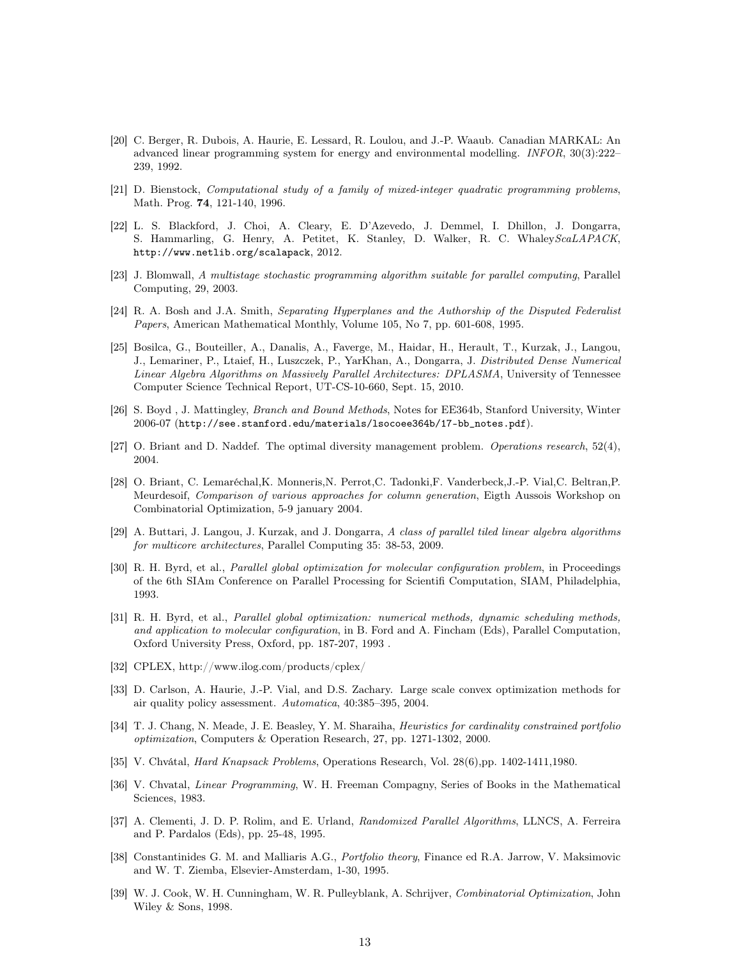- [20] C. Berger, R. Dubois, A. Haurie, E. Lessard, R. Loulou, and J.-P. Waaub. Canadian MARKAL: An advanced linear programming system for energy and environmental modelling. INFOR, 30(3):222– 239, 1992.
- [21] D. Bienstock, Computational study of a family of mixed-integer quadratic programming problems, Math. Prog. 74, 121-140, 1996.
- [22] L. S. Blackford, J. Choi, A. Cleary, E. D'Azevedo, J. Demmel, I. Dhillon, J. Dongarra, S. Hammarling, G. Henry, A. Petitet, K. Stanley, D. Walker, R. C. Whaley ScaLAPACK, http://www.netlib.org/scalapack, 2012.
- <span id="page-12-5"></span>[23] J. Blomwall, A multistage stochastic programming algorithm suitable for parallel computing, Parallel Computing, 29, 2003.
- [24] R. A. Bosh and J.A. Smith, Separating Hyperplanes and the Authorship of the Disputed Federalist Papers, American Mathematical Monthly, Volume 105, No 7, pp. 601-608, 1995.
- <span id="page-12-4"></span>[25] Bosilca, G., Bouteiller, A., Danalis, A., Faverge, M., Haidar, H., Herault, T., Kurzak, J., Langou, J., Lemariner, P., Ltaief, H., Luszczek, P., YarKhan, A., Dongarra, J. Distributed Dense Numerical Linear Algebra Algorithms on Massively Parallel Architectures: DPLASMA, University of Tennessee Computer Science Technical Report, UT-CS-10-660, Sept. 15, 2010.
- <span id="page-12-2"></span>[26] S. Boyd , J. Mattingley, Branch and Bound Methods, Notes for EE364b, Stanford University, Winter 2006-07 (http://see.stanford.edu/materials/lsocoee364b/17-bb\_notes.pdf).
- [27] O. Briant and D. Naddef. The optimal diversity management problem. Operations research, 52(4), 2004.
- <span id="page-12-9"></span>[28] O. Briant, C. Lemaréchal,K. Monneris,N. Perrot,C. Tadonki,F. Vanderbeck,J.-P. Vial,C. Beltran,P. Meurdesoif, Comparison of various approaches for column generation, Eigth Aussois Workshop on Combinatorial Optimization, 5-9 january 2004.
- <span id="page-12-3"></span>[29] A. Buttari, J. Langou, J. Kurzak, and J. Dongarra, A class of parallel tiled linear algebra algorithms for multicore architectures, Parallel Computing 35: 38-53, 2009.
- <span id="page-12-7"></span>[30] R. H. Byrd, et al., Parallel global optimization for molecular configuration problem, in Proceedings of the 6th SIAm Conference on Parallel Processing for Scientifi Computation, SIAM, Philadelphia, 1993.
- <span id="page-12-6"></span>[31] R. H. Byrd, et al., Parallel global optimization: numerical methods, dynamic scheduling methods, and application to molecular configuration, in B. Ford and A. Fincham (Eds), Parallel Computation, Oxford University Press, Oxford, pp. 187-207, 1993 .
- [32] CPLEX, http://www.ilog.com/products/cplex/
- [33] D. Carlson, A. Haurie, J.-P. Vial, and D.S. Zachary. Large scale convex optimization methods for air quality policy assessment. Automatica, 40:385–395, 2004.
- [34] T. J. Chang, N. Meade, J. E. Beasley, Y. M. Sharaiha, Heuristics for cardinality constrained portfolio optimization, Computers & Operation Research, 27, pp. 1271-1302, 2000.
- <span id="page-12-1"></span>[35] V. Chvátal, Hard Knapsack Problems, Operations Research, Vol. 28(6),pp. 1402-1411,1980.
- [36] V. Chvatal, Linear Programming, W. H. Freeman Compagny, Series of Books in the Mathematical Sciences, 1983.
- <span id="page-12-8"></span>[37] A. Clementi, J. D. P. Rolim, and E. Urland, Randomized Parallel Algorithms, LLNCS, A. Ferreira and P. Pardalos (Eds), pp. 25-48, 1995.
- [38] Constantinides G. M. and Malliaris A.G., Portfolio theory, Finance ed R.A. Jarrow, V. Maksimovic and W. T. Ziemba, Elsevier-Amsterdam, 1-30, 1995.
- <span id="page-12-0"></span>[39] W. J. Cook, W. H. Cunningham, W. R. Pulleyblank, A. Schrijver, Combinatorial Optimization, John Wiley & Sons, 1998.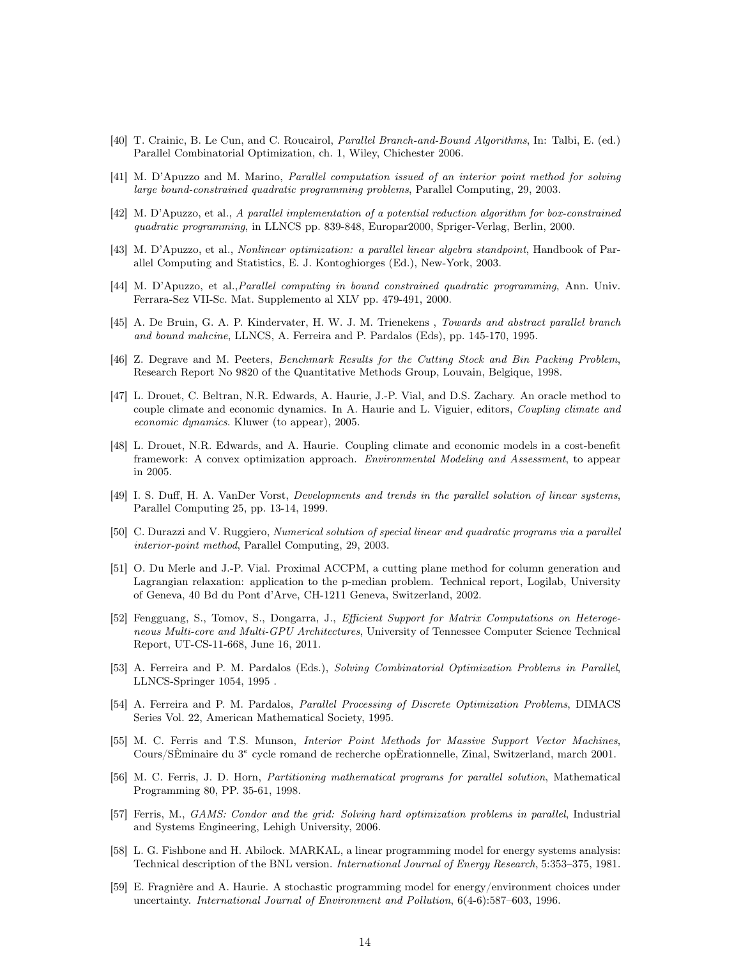- [40] T. Crainic, B. Le Cun, and C. Roucairol, Parallel Branch-and-Bound Algorithms, In: Talbi, E. (ed.) Parallel Combinatorial Optimization, ch. 1, Wiley, Chichester 2006.
- <span id="page-13-3"></span>[41] M. D'Apuzzo and M. Marino, Parallel computation issued of an interior point method for solving large bound-constrained quadratic programming problems, Parallel Computing, 29, 2003.
- <span id="page-13-7"></span>[42] M. D'Apuzzo, et al., A parallel implementation of a potential reduction algorithm for box-constrained quadratic programming, in LLNCS pp. 839-848, Europar2000, Spriger-Verlag, Berlin, 2000.
- <span id="page-13-2"></span>[43] M. D'Apuzzo, et al., Nonlinear optimization: a parallel linear algebra standpoint, Handbook of Parallel Computing and Statistics, E. J. Kontoghiorges (Ed.), New-York, 2003.
- [44] M. D'Apuzzo, et al.,Parallel computing in bound constrained quadratic programming, Ann. Univ. Ferrara-Sez VII-Sc. Mat. Supplemento al XLV pp. 479-491, 2000.
- <span id="page-13-8"></span>[45] A. De Bruin, G. A. P. Kindervater, H. W. J. M. Trienekens , Towards and abstract parallel branch and bound mahcine, LLNCS, A. Ferreira and P. Pardalos (Eds), pp. 145-170, 1995.
- [46] Z. Degrave and M. Peeters, Benchmark Results for the Cutting Stock and Bin Packing Problem, Research Report No 9820 of the Quantitative Methods Group, Louvain, Belgique, 1998.
- [47] L. Drouet, C. Beltran, N.R. Edwards, A. Haurie, J.-P. Vial, and D.S. Zachary. An oracle method to couple climate and economic dynamics. In A. Haurie and L. Viguier, editors, Coupling climate and economic dynamics. Kluwer (to appear), 2005.
- [48] L. Drouet, N.R. Edwards, and A. Haurie. Coupling climate and economic models in a cost-benefit framework: A convex optimization approach. Environmental Modeling and Assessment, to appear in 2005.
- <span id="page-13-1"></span>[49] I. S. Duff, H. A. VanDer Vorst, Developments and trends in the parallel solution of linear systems, Parallel Computing 25, pp. 13-14, 1999.
- <span id="page-13-5"></span>[50] C. Durazzi and V. Ruggiero, Numerical solution of special linear and quadratic programs via a parallel interior-point method, Parallel Computing, 29, 2003.
- [51] O. Du Merle and J.-P. Vial. Proximal ACCPM, a cutting plane method for column generation and Lagrangian relaxation: application to the p-median problem. Technical report, Logilab, University of Geneva, 40 Bd du Pont d'Arve, CH-1211 Geneva, Switzerland, 2002.
- <span id="page-13-0"></span>[52] Fengguang, S., Tomov, S., Dongarra, J., Efficient Support for Matrix Computations on Heterogeneous Multi-core and Multi-GPU Architectures, University of Tennessee Computer Science Technical Report, UT-CS-11-668, June 16, 2011.
- [53] A. Ferreira and P. M. Pardalos (Eds.), Solving Combinatorial Optimization Problems in Parallel, LLNCS-Springer 1054, 1995 .
- <span id="page-13-4"></span>[54] A. Ferreira and P. M. Pardalos, Parallel Processing of Discrete Optimization Problems, DIMACS Series Vol. 22, American Mathematical Society, 1995.
- [55] M. C. Ferris and T.S. Munson, Interior Point Methods for Massive Support Vector Machines, Cours/SÈminaire du 3<sup>e</sup> cycle romand de recherche opÈrationnelle, Zinal, Switzerland, march 2001.
- <span id="page-13-6"></span>[56] M. C. Ferris, J. D. Horn, Partitioning mathematical programs for parallel solution, Mathematical Programming 80, PP. 35-61, 1998.
- [57] Ferris, M., GAMS: Condor and the grid: Solving hard optimization problems in parallel, Industrial and Systems Engineering, Lehigh University, 2006.
- [58] L. G. Fishbone and H. Abilock. MARKAL, a linear programming model for energy systems analysis: Technical description of the BNL version. International Journal of Energy Research, 5:353–375, 1981.
- [59] E. Fragnière and A. Haurie. A stochastic programming model for energy/environment choices under uncertainty. International Journal of Environment and Pollution, 6(4-6):587–603, 1996.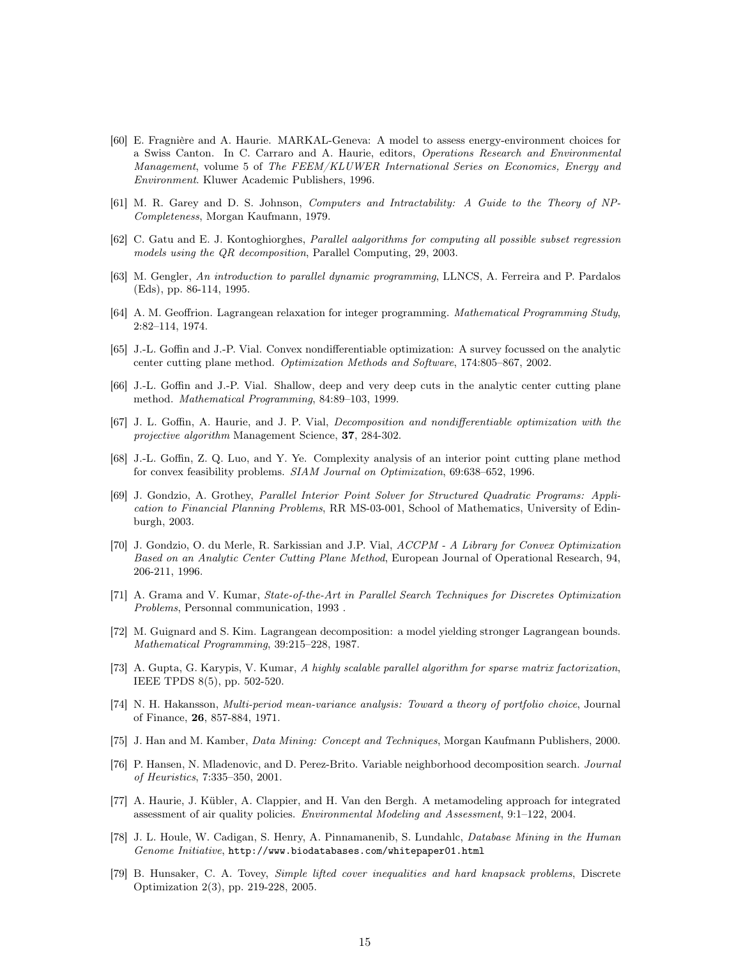- [60] E. Fragnière and A. Haurie. MARKAL-Geneva: A model to assess energy-environment choices for a Swiss Canton. In C. Carraro and A. Haurie, editors, Operations Research and Environmental Management, volume 5 of The FEEM/KLUWER International Series on Economics, Energy and Environment. Kluwer Academic Publishers, 1996.
- <span id="page-14-2"></span>[61] M. R. Garey and D. S. Johnson, Computers and Intractability: A Guide to the Theory of NP-Completeness, Morgan Kaufmann, 1979.
- <span id="page-14-4"></span>[62] C. Gatu and E. J. Kontoghiorghes, Parallel aalgorithms for computing all possible subset regression models using the QR decomposition, Parallel Computing, 29, 2003.
- <span id="page-14-6"></span>[63] M. Gengler, An introduction to parallel dynamic programming, LLNCS, A. Ferreira and P. Pardalos (Eds), pp. 86-114, 1995.
- [64] A. M. Geoffrion. Lagrangean relaxation for integer programming. Mathematical Programming Study, 2:82–114, 1974.
- <span id="page-14-1"></span>[65] J.-L. Goffin and J.-P. Vial. Convex nondifferentiable optimization: A survey focussed on the analytic center cutting plane method. Optimization Methods and Software, 174:805–867, 2002.
- [66] J.-L. Goffin and J.-P. Vial. Shallow, deep and very deep cuts in the analytic center cutting plane method. Mathematical Programming, 84:89–103, 1999.
- [67] J. L. Goffin, A. Haurie, and J. P. Vial, Decomposition and nondifferentiable optimization with the projective algorithm Management Science, 37, 284-302.
- [68] J.-L. Goffin, Z. Q. Luo, and Y. Ye. Complexity analysis of an interior point cutting plane method for convex feasibility problems. SIAM Journal on Optimization, 69:638–652, 1996.
- <span id="page-14-3"></span>[69] J. Gondzio, A. Grothey, Parallel Interior Point Solver for Structured Quadratic Programs: Application to Financial Planning Problems, RR MS-03-001, School of Mathematics, University of Edinburgh, 2003.
- [70] J. Gondzio, O. du Merle, R. Sarkissian and J.P. Vial, ACCPM A Library for Convex Optimization Based on an Analytic Center Cutting Plane Method, European Journal of Operational Research, 94, 206-211, 1996.
- <span id="page-14-7"></span>[71] A. Grama and V. Kumar, State-of-the-Art in Parallel Search Techniques for Discretes Optimization Problems, Personnal communication, 1993 .
- [72] M. Guignard and S. Kim. Lagrangean decomposition: a model yielding stronger Lagrangean bounds. Mathematical Programming, 39:215–228, 1987.
- <span id="page-14-5"></span>[73] A. Gupta, G. Karypis, V. Kumar, A highly scalable parallel algorithm for sparse matrix factorization, IEEE TPDS 8(5), pp. 502-520.
- [74] N. H. Hakansson, Multi-period mean-variance analysis: Toward a theory of portfolio choice, Journal of Finance, 26, 857-884, 1971.
- [75] J. Han and M. Kamber, Data Mining: Concept and Techniques, Morgan Kaufmann Publishers, 2000.
- [76] P. Hansen, N. Mladenovic, and D. Perez-Brito. Variable neighborhood decomposition search. Journal of Heuristics, 7:335–350, 2001.
- [77] A. Haurie, J. Kübler, A. Clappier, and H. Van den Bergh. A metamodeling approach for integrated assessment of air quality policies. Environmental Modeling and Assessment, 9:1–122, 2004.
- [78] J. L. Houle, W. Cadigan, S. Henry, A. Pinnamanenib, S. Lundahlc, Database Mining in the Human Genome Initiative, http://www.biodatabases.com/whitepaper01.html
- <span id="page-14-0"></span>[79] B. Hunsaker, C. A. Tovey, Simple lifted cover inequalities and hard knapsack problems, Discrete Optimization 2(3), pp. 219-228, 2005.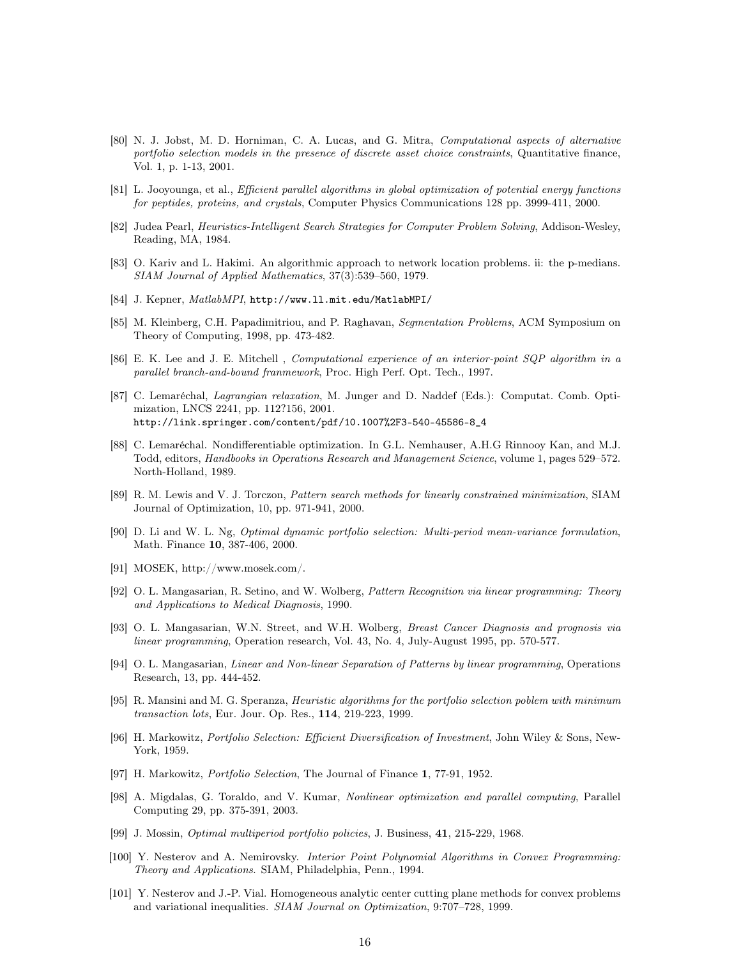- [80] N. J. Jobst, M. D. Horniman, C. A. Lucas, and G. Mitra, Computational aspects of alternative portfolio selection models in the presence of discrete asset choice constraints, Quantitative finance, Vol. 1, p. 1-13, 2001.
- <span id="page-15-3"></span>[81] L. Jooyounga, et al., Efficient parallel algorithms in global optimization of potential energy functions for peptides, proteins, and crystals, Computer Physics Communications 128 pp. 3999-411, 2000.
- <span id="page-15-1"></span>[82] Judea Pearl, Heuristics-Intelligent Search Strategies for Computer Problem Solving, Addison-Wesley, Reading, MA, 1984.
- [83] O. Kariv and L. Hakimi. An algorithmic approach to network location problems. ii: the p-medians. SIAM Journal of Applied Mathematics, 37(3):539–560, 1979.
- [84] J. Kepner, MatlabMPI, http://www.ll.mit.edu/MatlabMPI/
- [85] M. Kleinberg, C.H. Papadimitriou, and P. Raghavan, Segmentation Problems, ACM Symposium on Theory of Computing, 1998, pp. 473-482.
- [86] E. K. Lee and J. E. Mitchell , Computational experience of an interior-point SQP algorithm in a parallel branch-and-bound franmework, Proc. High Perf. Opt. Tech., 1997.
- <span id="page-15-0"></span>[87] C. Lemaréchal, Lagrangian relaxation, M. Junger and D. Naddef (Eds.): Computat. Comb. Optimization, LNCS 2241, pp. 112?156, 2001. http://link.springer.com/content/pdf/10.1007%2F3-540-45586-8\_4
- [88] C. Lemaréchal. Nondifferentiable optimization. In G.L. Nemhauser, A.H.G Rinnooy Kan, and M.J. Todd, editors, Handbooks in Operations Research and Management Science, volume 1, pages 529–572. North-Holland, 1989.
- <span id="page-15-2"></span>[89] R. M. Lewis and V. J. Torczon, Pattern search methods for linearly constrained minimization, SIAM Journal of Optimization, 10, pp. 971-941, 2000.
- [90] D. Li and W. L. Ng, Optimal dynamic portfolio selection: Multi-period mean-variance formulation, Math. Finance 10, 387-406, 2000.
- [91] MOSEK, http://www.mosek.com/.
- [92] O. L. Mangasarian, R. Setino, and W. Wolberg, Pattern Recognition via linear programming: Theory and Applications to Medical Diagnosis, 1990.
- [93] O. L. Mangasarian, W.N. Street, and W.H. Wolberg, Breast Cancer Diagnosis and prognosis via linear programming, Operation research, Vol. 43, No. 4, July-August 1995, pp. 570-577.
- [94] O. L. Mangasarian, Linear and Non-linear Separation of Patterns by linear programming, Operations Research, 13, pp. 444-452.
- [95] R. Mansini and M. G. Speranza, Heuristic algorithms for the portfolio selection poblem with minimum transaction lots, Eur. Jour. Op. Res., 114, 219-223, 1999.
- [96] H. Markowitz, Portfolio Selection: Efficient Diversification of Investment, John Wiley & Sons, New-York, 1959.
- [97] H. Markowitz, Portfolio Selection, The Journal of Finance 1, 77-91, 1952.
- [98] A. Migdalas, G. Toraldo, and V. Kumar, Nonlinear optimization and parallel computing, Parallel Computing 29, pp. 375-391, 2003.
- [99] J. Mossin, Optimal multiperiod portfolio policies, J. Business, 41, 215-229, 1968.
- [100] Y. Nesterov and A. Nemirovsky. Interior Point Polynomial Algorithms in Convex Programming: Theory and Applications. SIAM, Philadelphia, Penn., 1994.
- [101] Y. Nesterov and J.-P. Vial. Homogeneous analytic center cutting plane methods for convex problems and variational inequalities. SIAM Journal on Optimization, 9:707–728, 1999.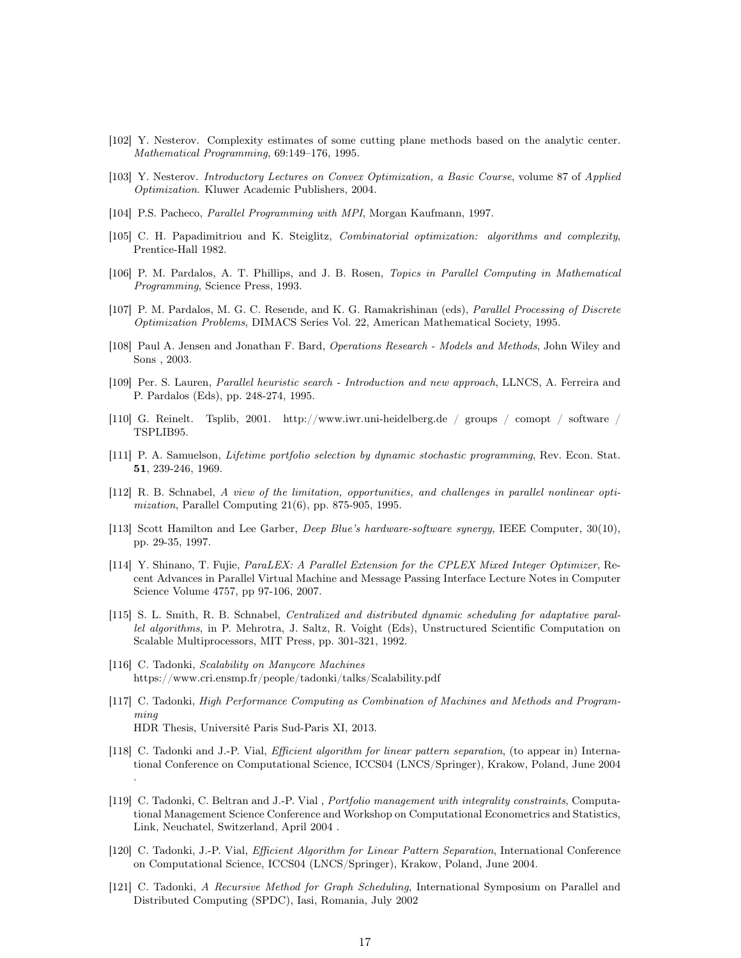- [102] Y. Nesterov. Complexity estimates of some cutting plane methods based on the analytic center. Mathematical Programming, 69:149–176, 1995.
- [103] Y. Nesterov. Introductory Lectures on Convex Optimization, a Basic Course, volume 87 of Applied Optimization. Kluwer Academic Publishers, 2004.
- [104] P.S. Pacheco, Parallel Programming with MPI, Morgan Kaufmann, 1997.
- <span id="page-16-2"></span>[105] C. H. Papadimitriou and K. Steiglitz, Combinatorial optimization: algorithms and complexity, Prentice-Hall 1982.
- <span id="page-16-5"></span>[106] P. M. Pardalos, A. T. Phillips, and J. B. Rosen, Topics in Parallel Computing in Mathematical Programming, Science Press, 1993.
- <span id="page-16-6"></span>[107] P. M. Pardalos, M. G. C. Resende, and K. G. Ramakrishinan (eds), Parallel Processing of Discrete Optimization Problems, DIMACS Series Vol. 22, American Mathematical Society, 1995.
- <span id="page-16-1"></span>[108] Paul A. Jensen and Jonathan F. Bard, Operations Research - Models and Methods, John Wiley and Sons , 2003.
- <span id="page-16-8"></span>[109] Per. S. Lauren, Parallel heuristic search - Introduction and new approach, LLNCS, A. Ferreira and P. Pardalos (Eds), pp. 248-274, 1995.
- [110] G. Reinelt. Tsplib, 2001. http://www.iwr.uni-heidelberg.de / groups / comopt / software / TSPLIB95.
- [111] P. A. Samuelson, Lifetime portfolio selection by dynamic stochastic programming, Rev. Econ. Stat. 51, 239-246, 1969.
- <span id="page-16-4"></span>[112] R. B. Schnabel, A view of the limitation, opportunities, and challenges in parallel nonlinear optimization, Parallel Computing 21(6), pp. 875-905, 1995.
- <span id="page-16-9"></span>[113] Scott Hamilton and Lee Garber, Deep Blue's hardware-software synergy, IEEE Computer, 30(10), pp. 29-35, 1997.
- <span id="page-16-3"></span>[114] Y. Shinano, T. Fujie, ParaLEX: A Parallel Extension for the CPLEX Mixed Integer Optimizer, Recent Advances in Parallel Virtual Machine and Message Passing Interface Lecture Notes in Computer Science Volume 4757, pp 97-106, 2007.
- <span id="page-16-7"></span>[115] S. L. Smith, R. B. Schnabel, Centralized and distributed dynamic scheduling for adaptative parallel algorithms, in P. Mehrotra, J. Saltz, R. Voight (Eds), Unstructured Scientific Computation on Scalable Multiprocessors, MIT Press, pp. 301-321, 1992.
- <span id="page-16-10"></span>[116] C. Tadonki, Scalability on Manycore Machines https://www.cri.ensmp.fr/people/tadonki/talks/Scalability.pdf
- <span id="page-16-0"></span>[117] C. Tadonki, High Performance Computing as Combination of Machines and Methods and Programming HDR Thesis, Université Paris Sud-Paris XI, 2013.
- [118] C. Tadonki and J.-P. Vial, Efficient algorithm for linear pattern separation, (to appear in) International Conference on Computational Science, ICCS04 (LNCS/Springer), Krakow, Poland, June 2004 .
- [119] C. Tadonki, C. Beltran and J.-P. Vial , Portfolio management with integrality constraints, Computational Management Science Conference and Workshop on Computational Econometrics and Statistics, Link, Neuchatel, Switzerland, April 2004 .
- [120] C. Tadonki, J.-P. Vial, Efficient Algorithm for Linear Pattern Separation, International Conference on Computational Science, ICCS04 (LNCS/Springer), Krakow, Poland, June 2004.
- [121] C. Tadonki, A Recursive Method for Graph Scheduling, International Symposium on Parallel and Distributed Computing (SPDC), Iasi, Romania, July 2002